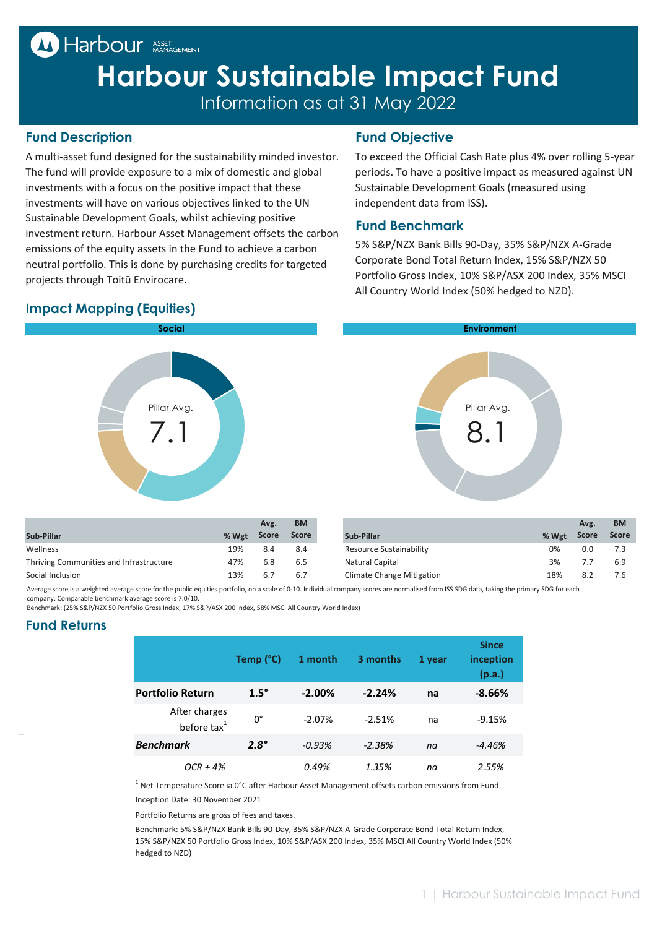## <sup>M</sup> Harbour | ASSET

# **Harbour Sustainable Impact Fund** Information as at 31 May 2022

#### **Fund Description Fund Objective**

A multi-asset fund designed for the sustainability minded investor. The fund will provide exposure to a mix of domestic and global investments with a focus on the positive impact that these investments will have on various objectives linked to the UN Sustainable Development Goals, whilst achieving positive investment return. Harbour Asset Management offsets the carbon emissions of the equity assets in the Fund to achieve a carbon neutral portfolio. This is done by purchasing credits for targeted projects through Toitū Envirocare.

To exceed the Official Cash Rate plus 4% over rolling 5-year periods. To have a positive impact as measured against UN Sustainable Development Goals (measured using independent data from ISS).

#### **Fund Benchmark**

5% S&P/NZX Bank Bills 90-Day, 35% S&P/NZX A-Grade Corporate Bond Total Return Index, 15% S&P/NZX 50 Portfolio Gross Index, 10% S&P/ASX 200 Index, 35% MSCI All Country World Index (50% hedged to NZD).





|                                         |       | Avg.         | <b>BM</b>    |                           |       | Avg.  | <b>BM</b>    |
|-----------------------------------------|-------|--------------|--------------|---------------------------|-------|-------|--------------|
| Sub-Pillar                              | % Wgt | <b>Score</b> | <b>Score</b> | Sub-Pillar                | % Wgt | Score | <b>Score</b> |
| Wellness                                | 19%   | 8.4          | 8.4          | Resource Sustainability   | 0%    | 0.0   |              |
| Thriving Communities and Infrastructure | 47%   | 6.8          | 6.5          | Natural Capital           | 3%    | 7.7   | 6.9          |
| Social Inclusion                        | 13%   | 6.7          | 6.7          | Climate Change Mitigation | 18%   | 8.2   | 7.6          |

Average score is a weighted average score for the public equities portfolio, on a scale of 0-10. Individual company scores are normalised from ISS SDG data, taking the primary SDG for each company. Comparable benchmark average score is 7.0/10.

Benchmark: (25% S&P/NZX 50 Portfolio Gross Index, 17% S&P/ASX 200 Index, 58% MSCI All Country World Index)

#### **Fund Returns**

|                                          | Temp (°C)   | 1 month   | 3 months | 1 year | <b>Since</b><br>inception<br>(p.a.) |
|------------------------------------------|-------------|-----------|----------|--------|-------------------------------------|
| <b>Portfolio Return</b>                  | $1.5^\circ$ | $-2.00\%$ | $-2.24%$ | na     | $-8.66%$                            |
| After charges<br>before tax <sup>1</sup> | 0°          | $-2.07%$  | $-2.51%$ | na     | $-9.15%$                            |
| <b>Benchmark</b>                         | $2.8^\circ$ | $-0.93%$  | $-2.38%$ | na     | $-4.46%$                            |
| $OCR + 4%$                               |             | 0.49%     | 1.35%    | na     | 2.55%                               |

Inception Date: 30 November 2021  $<sup>1</sup>$  Net Temperature Score ia 0°C after Harbour Asset Management offsets carbon emissions from Fund</sup>

Portfolio Returns are gross of fees and taxes.

Benchmark: 5% S&P/NZX Bank Bills 90-Day, 35% S&P/NZX A-Grade Corporate Bond Total Return Index, 15% S&P/NZX 50 Portfolio Gross Index, 10% S&P/ASX 200 Index, 35% MSCI All Country World Index (50% hedged to NZD)